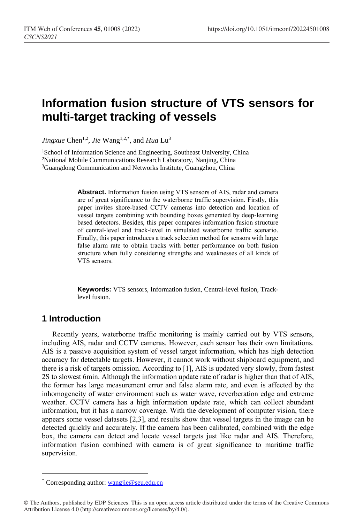# **Information fusion structure of VTS sensors for multi-target tracking of vessels**

*Jingxue* Chen<sup>1,2</sup>, *Jie* Wang<sup>1,2,\*</sup>, and *Hua* Lu<sup>3</sup>

<sup>1</sup>School of Information Science and Engineering, Southeast University, China <sup>2</sup>National Mobile Communications Research Laboratory, Nanjing, China <sup>3</sup>Guangdong Communication and Networks Institute, Guangzhou, China

> **Abstract.** Information fusion using VTS sensors of AIS, radar and camera are of great significance to the waterborne traffic supervision. Firstly, this paper invites shore-based CCTV cameras into detection and location of vessel targets combining with bounding boxes generated by deep-learning based detectors. Besides, this paper compares information fusion structure of central-level and track-level in simulated waterborne traffic scenario. Finally, this paper introduces a track selection method for sensors with large false alarm rate to obtain tracks with better performance on both fusion structure when fully considering strengths and weaknesses of all kinds of VTS sensors.

> **Keywords:** VTS sensors, Information fusion, Central-level fusion, Tracklevel fusion.

# **1 Introduction**

 $\overline{a}$ 

Recently years, waterborne traffic monitoring is mainly carried out by VTS sensors, including AIS, radar and CCTV cameras. However, each sensor has their own limitations. AIS is a passive acquisition system of vessel target information, which has high detection accuracy for detectable targets. However, it cannot work without shipboard equipment, and there is a risk of targets omission. According to [1], AIS is updated very slowly, from fastest 2S to slowest 6min. Although the information update rate of radar is higher than that of AIS, the former has large measurement error and false alarm rate, and even is affected by the inhomogeneity of water environment such as water wave, reverberation edge and extreme weather. CCTV camera has a high information update rate, which can collect abundant information, but it has a narrow coverage. With the development of computer vision, there appears some vessel datasets [2,3], and results show that vessel targets in the image can be detected quickly and accurately. If the camera has been calibrated, combined with the edge box, the camera can detect and locate vessel targets just like radar and AIS. Therefore, information fusion combined with camera is of great significance to maritime traffic supervision.

Corresponding author: [wangjie@seu.edu.cn](mailto:wangjie@seu.edu.cn)

<sup>©</sup> The Authors, published by EDP Sciences. This is an open access article distributed under the terms of the Creative Commons Attribution License 4.0 (http://creativecommons.org/licenses/by/4.0/).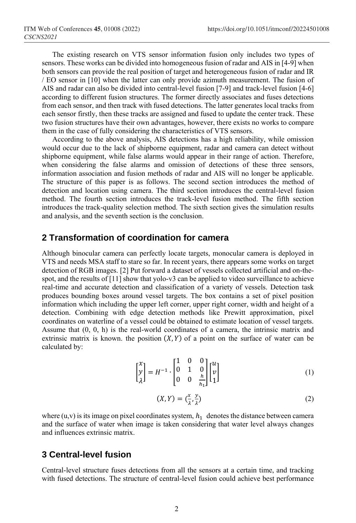The existing research on VTS sensor information fusion only includes two types of sensors. These works can be divided into homogeneous fusion of radar and AIS in [4-9] when both sensors can provide the real position of target and heterogeneous fusion of radar and IR / EO sensor in [10] when the latter can only provide azimuth measurement. The fusion of AIS and radar can also be divided into central-level fusion [7-9] and track-level fusion [4-6] according to different fusion structures. The former directly associates and fuses detections from each sensor, and then track with fused detections. The latter generates local tracks from each sensor firstly, then these tracks are assigned and fused to update the center track. These two fusion structures have their own advantages, however, there exists no works to compare them in the case of fully considering the characteristics of VTS sensors.

According to the above analysis, AIS detections has a high reliability, while omission would occur due to the lack of shipborne equipment, radar and camera can detect without shipborne equipment, while false alarms would appear in their range of action. Therefore, when considering the false alarms and omission of detections of these three sensors, information association and fusion methods of radar and AIS will no longer be applicable. The structure of this paper is as follows. The second section introduces the method of detection and location using camera. The third section introduces the central-level fusion method. The fourth section introduces the track-level fusion method. The fifth section introduces the track-quality selection method. The sixth section gives the simulation results and analysis, and the seventh section is the conclusion.

## **2 Transformation of coordination for camera**

Although binocular camera can perfectly locate targets, monocular camera is deployed in VTS and needs MSA staff to stare so far. In recent years, there appears some works on target detection of RGB images. [2] Put forward a dataset of vessels collected artificial and on-thespot, and the results of [11] show that yolo-v3 can be applied to video surveillance to achieve real-time and accurate detection and classification of a variety of vessels. Detection task produces bounding boxes around vessel targets. The box contains a set of pixel position information which including the upper left corner, upper right corner, width and height of a detection. Combining with edge detection methods like Prewitt approximation, pixel coordinates on waterline of a vessel could be obtained to estimate location of vessel targets. Assume that  $(0, 0, h)$  is the real-world coordinates of a camera, the intrinsic matrix and extrinsic matrix is known. the position  $(X, Y)$  of a point on the surface of water can be calculated by:

$$
\begin{bmatrix} x \\ y \\ \lambda \end{bmatrix} = H^{-1} \cdot \begin{bmatrix} 1 & 0 & 0 \\ 0 & 1 & 0 \\ 0 & 0 & \frac{h}{h_1} \end{bmatrix} \begin{bmatrix} u \\ v \\ 1 \end{bmatrix}
$$
 (1)

$$
(X,Y) = \left(\frac{x}{\lambda}, \frac{y}{\lambda}\right) \tag{2}
$$

where  $(u, v)$  is its image on pixel coordinates system,  $h_1$  denotes the distance between camera and the surface of water when image is taken considering that water level always changes and influences extrinsic matrix.

## **3 Central-level fusion**

Central-level structure fuses detections from all the sensors at a certain time, and tracking with fused detections. The structure of central-level fusion could achieve best performance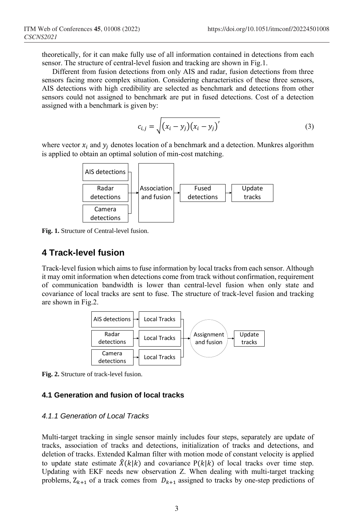theoretically, for it can make fully use of all information contained in detections from each sensor. The structure of central-level fusion and tracking are shown in Fig.1.

Different from fusion detections from only AIS and radar, fusion detections from three sensors facing more complex situation. Considering characteristics of these three sensors, AIS detections with high credibility are selected as benchmark and detections from other sensors could not assigned to benchmark are put in fused detections. Cost of a detection assigned with a benchmark is given by:

$$
c_{i,j} = \sqrt{(x_i - y_j)(x_i - y_j)}
$$
 (3)

where vector  $x_i$  and  $y_j$  denotes location of a benchmark and a detection. Munkres algorithm is applied to obtain an optimal solution of min-cost matching.



**Fig. 1.** Structure of Central-level fusion.

# **4 Track-level fusion**

Track-level fusion which aims to fuse information by local tracks from each sensor. Although it may omit information when detections come from track without confirmation, requirement of communication bandwidth is lower than central-level fusion when only state and covariance of local tracks are sent to fuse. The structure of track-level fusion and tracking are shown in Fig.2.



**Fig. 2.** Structure of track-level fusion.

#### **4.1 Generation and fusion of local tracks**

## *4.1.1 Generation of Local Tracks*

Multi-target tracking in single sensor mainly includes four steps, separately are update of tracks, association of tracks and detections, initialization of tracks and detections, and deletion of tracks. Extended Kalman filter with motion mode of constant velocity is applied to update state estimate  $\hat{X}(k|k)$  and covariance  $P(k|k)$  of local tracks over time step. Updating with EKF needs new observation Z. When dealing with multi-target tracking problems,  $Z_{k+1}$  of a track comes from  $D_{k+1}$  assigned to tracks by one-step predictions of **Examplementary Association**<br> **Examplementary Examplementary Comes**<br> **Examplementary Comes from the complementary comes from the comes from the substitution of Comes from the track-level fusion.<br>
Track-level fusio**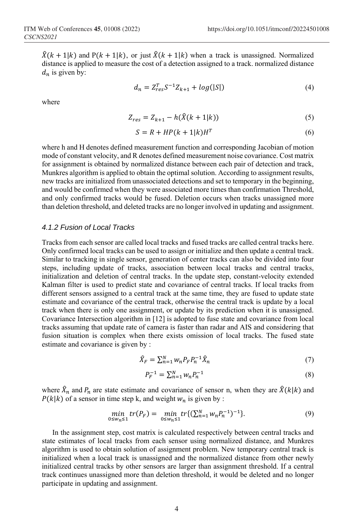$\hat{X}(k+1|k)$  and  $P(k+1|k)$ , or just  $\hat{X}(k+1|k)$  when a track is unassigned. Normalized distance is applied to measure the cost of a detection assigned to a track. normalized distance  $d_n$  is given by:

$$
d_n = Z_{res}^T S^{-1} Z_{k+1} + \log(|S|)
$$
 (4)

where

$$
Z_{res} = Z_{k+1} - h(\hat{X}(k+1|k))
$$
\n(5)

$$
S = R + HP(k+1|k)HT
$$
 (6)

where h and H denotes defined measurement function and corresponding Jacobian of motion mode of constant velocity, and R denotes defined measurement noise covariance. Cost matrix for assignment is obtained by normalized distance between each pair of detection and track, Munkres algorithm is applied to obtain the optimal solution. According to assignment results, new tracks are initialized from unassociated detections and set to temporary in the beginning, and would be confirmed when they were associated more times than confirmation Threshold, and only confirmed tracks would be fused. Deletion occurs when tracks unassigned more than deletion threshold, and deleted tracks are no longer involved in updating and assignment.

#### *4.1.2 Fusion of Local Tracks*

Tracks from each sensor are called local tracks and fused tracks are called central tracks here. Only confirmed local tracks can be used to assign or initialize and then update a central track. Similar to tracking in single sensor, generation of center tracks can also be divided into four steps, including update of tracks, association between local tracks and central tracks, initialization and deletion of central tracks. In the update step, constant-velocity extended Kalman filter is used to predict state and covariance of central tracks. If local tracks from different sensors assigned to a central track at the same time, they are fused to update state estimate and covariance of the central track, otherwise the central track is update by a local track when there is only one assignment, or update by its prediction when it is unassigned. Covariance Intersection algorithm in [12] is adopted to fuse state and covariance from local tracks assuming that update rate of camera is faster than radar and AIS and considering that fusion situation is complex when there exists omission of local tracks. The fused state estimate and covariance is given by :

$$
\hat{X}_F = \sum_{n=1}^N w_n P_F P_n^{-1} \hat{X}_n \tag{7}
$$

$$
P_F^{-1} = \sum_{n=1}^{N} w_n P_n^{-1}
$$
 (8)

where  $\hat{X}_n$  and  $P_n$  are state estimate and covariance of sensor n, when they are  $\hat{X}(k|k)$  and  $P(k|k)$  of a sensor in time step k, and weight  $w_n$  is given by :

$$
\min_{0 \le w_n \le 1} tr(P_F) = \min_{0 \le w_n \le 1} tr\{ (\sum_{n=1}^N w_n P_n^{-1})^{-1} \}.
$$
\n(9)

In the assignment step, cost matrix is calculated respectively between central tracks and state estimates of local tracks from each sensor using normalized distance, and Munkres algorithm is used to obtain solution of assignment problem. New temporary central track is initialized when a local track is unassigned and the normalized distance from other newly initialized central tracks by other sensors are larger than assignment threshold. If a central track continues unassigned more than deletion threshold, it would be deleted and no longer participate in updating and assignment.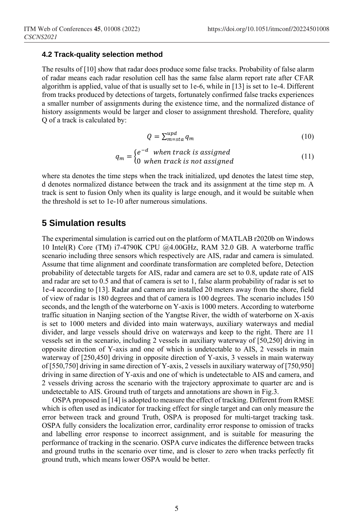#### **4.2 Track-quality selection method**

The results of [10] show that radar does produce some false tracks. Probability of false alarm of radar means each radar resolution cell has the same false alarm report rate after CFAR algorithm is applied, value of that is usually set to 1e-6, while in [13] is set to 1e-4. Different from tracks produced by detections of targets, fortunately confirmed false tracks experiences a smaller number of assignments during the existence time, and the normalized distance of history assignments would be larger and closer to assignment threshold. Therefore, quality Q of a track is calculated by:

$$
Q = \sum_{m=sta}^{upd} q_m \tag{10}
$$

$$
q_m = \begin{cases} e^{-d} & when track is assigned \\ 0 & when track is not assigned \end{cases}
$$
 (11)

where sta denotes the time steps when the track initialized, upd denotes the latest time step, d denotes normalized distance between the track and its assignment at the time step m. A track is sent to fusion Only when its quality is large enough, and it would be suitable when the threshold is set to 1e-10 after numerous simulations.

## **5 Simulation results**

The experimental simulation is carried out on the platform of MATLAB r2020b on Windows 10 Intel(R) Core (TM) i7-4790K CPU @4.00GHz, RAM 32.0 GB. A waterborne traffic scenario including three sensors which respectively are AIS, radar and camera is simulated. Assume that time alignment and coordinate transformation are completed before, Detection probability of detectable targets for AIS, radar and camera are set to 0.8, update rate of AIS and radar are set to 0.5 and that of camera is set to 1, false alarm probability of radar is set to 1e-4 according to [13]. Radar and camera are installed 20 meters away from the shore, field of view of radar is 180 degrees and that of camera is 100 degrees. The scenario includes 150 seconds, and the length of the waterborne on Y-axis is 1000 meters. According to waterborne traffic situation in Nanjing section of the Yangtse River, the width of waterborne on X-axis is set to 1000 meters and divided into main waterways, auxiliary waterways and medial divider, and large vessels should drive on waterways and keep to the right. There are 11 vessels set in the scenario, including 2 vessels in auxiliary waterway of [50,250] driving in opposite direction of Y-axis and one of which is undetectable to AIS, 2 vessels in main waterway of [250,450] driving in opposite direction of Y-axis, 3 vessels in main waterway of [550,750] driving in same direction of Y-axis, 2 vessels in auxiliary waterway of [750,950] driving in same direction of Y-axis and one of which is undetectable to AIS and camera, and 2 vessels driving across the scenario with the trajectory approximate to quarter arc and is undetectable to AIS. Ground truth of targets and annotations are shown in Fig.3.

OSPA proposed in [14] is adopted to measure the effect of tracking. Different from RMSE which is often used as indicator for tracking effect for single target and can only measure the error between track and ground Truth, OSPA is proposed for multi-target tracking task. OSPA fully considers the localization error, cardinality error response to omission of tracks and labelling error response to incorrect assignment, and is suitable for measuring the performance of tracking in the scenario. OSPA curve indicates the difference between tracks and ground truths in the scenario over time, and is closer to zero when tracks perfectly fit ground truth, which means lower OSPA would be better.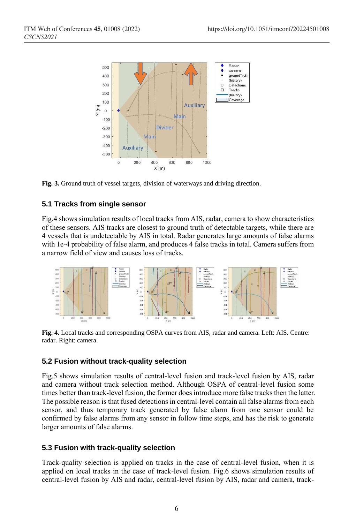



## **5.1 Tracks from single sensor**

Fig.4 shows simulation results of local tracks from AIS, radar, camera to show characteristics of these sensors. AIS tracks are closest to ground truth of detectable targets, while there are 4 vessels that is undetectable by AIS in total. Radar generates large amounts of false alarms with 1e-4 probability of false alarm, and produces 4 false tracks in total. Camera suffers from a narrow field of view and causes loss of tracks.



**Fig. 4.** Local tracks and corresponding OSPA curves from AIS, radar and camera. Left: AIS. Centre: radar. Right: camera.

## **5.2 Fusion without track-quality selection**

Fig.5 shows simulation results of central-level fusion and track-level fusion by AIS, radar and camera without track selection method. Although OSPA of central-level fusion some times better than track-level fusion, the former does introduce more false tracks then the latter. The possible reason is that fused detections in central-level contain all false alarms from each sensor, and thus temporary track generated by false alarm from one sensor could be confirmed by false alarms from any sensor in follow time steps, and has the risk to generate larger amounts of false alarms.

## **5.3 Fusion with track-quality selection**

Track-quality selection is applied on tracks in the case of central-level fusion, when it is applied on local tracks in the case of track-level fusion. Fig.6 shows simulation results of central-level fusion by AIS and radar, central-level fusion by AIS, radar and camera, track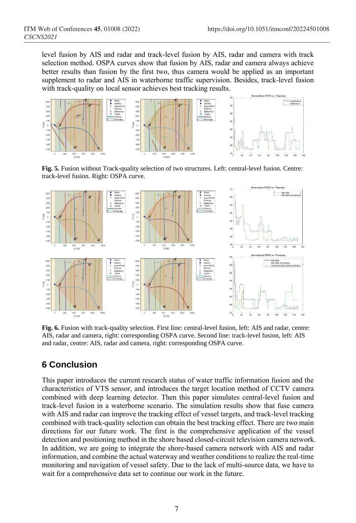level fusion by AIS and radar and track-level fusion by AIS, radar and camera with track selection method. OSPA curves show that fusion by AIS, radar and camera always achieve better results than fusion by the first two, thus camera would be applied as an important supplement to radar and AIS in waterborne traffic supervision. Besides, track-level fusion with track-quality on local sensor achieves best tracking results.



**Fig. 5.** Fusion without Track-quality selection of two structures. Left: central-level fusion. Centre: track-level fusion. Right: OSPA curve.



**Fig. 6.** Fusion with track-quality selection. First line: central-level fusion, left: AIS and radar, centre: AIS, radar and camera, right: corresponding OSPA curve. Second line: track-level fusion, left: AIS and radar, centre: AIS, radar and camera, right: corresponding OSPA curve.

# **6 Conclusion**

This paper introduces the current research status of water traffic information fusion and the characteristics of VTS sensor, and introduces the target location method of CCTV camera combined with deep learning detector. Then this paper simulates central-level fusion and track-level fusion in a waterborne scenario. The simulation results show that fuse camera with AIS and radar can improve the tracking effect of vessel targets, and track-level tracking combined with track-quality selection can obtain the best tracking effect. There are two main directions for our future work. The first is the comprehensive application of the vessel detection and positioning method in the shore based closed-circuit television camera network. In addition, we are going to integrate the shore-based camera network with AIS and radar information, and combine the actual waterway and weather conditions to realize the real-time monitoring and navigation of vessel safety. Due to the lack of multi-source data, we have to wait for a comprehensive data set to continue our work in the future.